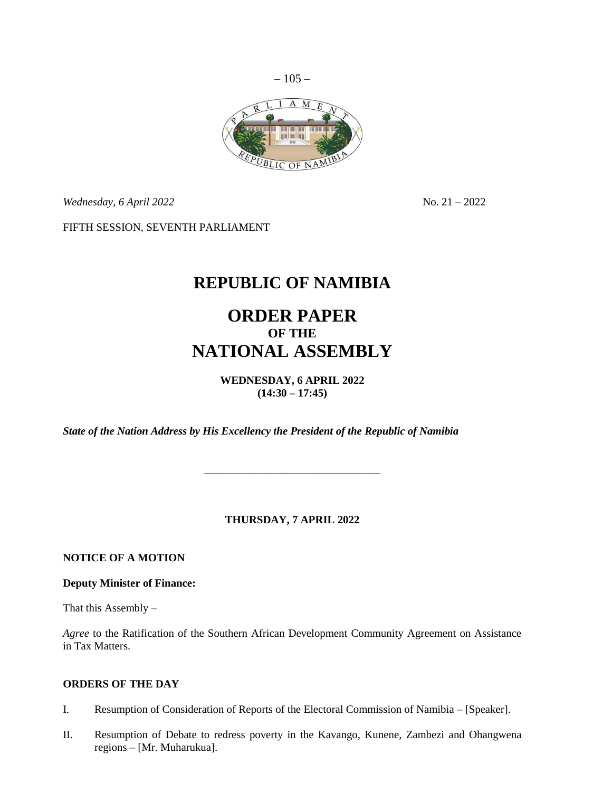

*Wednesday, 6 April* 2022 No. 21 – 2022

FIFTH SESSION, SEVENTH PARLIAMENT

# **REPUBLIC OF NAMIBIA**

# **ORDER PAPER OF THE NATIONAL ASSEMBLY**

**WEDNESDAY, 6 APRIL 2022 (14:30 – 17:45)**

*State of the Nation Address by His Excellency the President of the Republic of Namibia*

### **THURSDAY, 7 APRIL 2022**

\_\_\_\_\_\_\_\_\_\_\_\_\_\_\_\_\_\_\_\_\_\_\_\_\_\_\_\_\_\_\_\_

**NOTICE OF A MOTION**

**Deputy Minister of Finance:**

That this Assembly –

*Agree* to the Ratification of the Southern African Development Community Agreement on Assistance in Tax Matters.

### **ORDERS OF THE DAY**

- I. Resumption of Consideration of Reports of the Electoral Commission of Namibia [Speaker].
- II. Resumption of Debate to redress poverty in the Kavango, Kunene, Zambezi and Ohangwena regions – [Mr. Muharukua].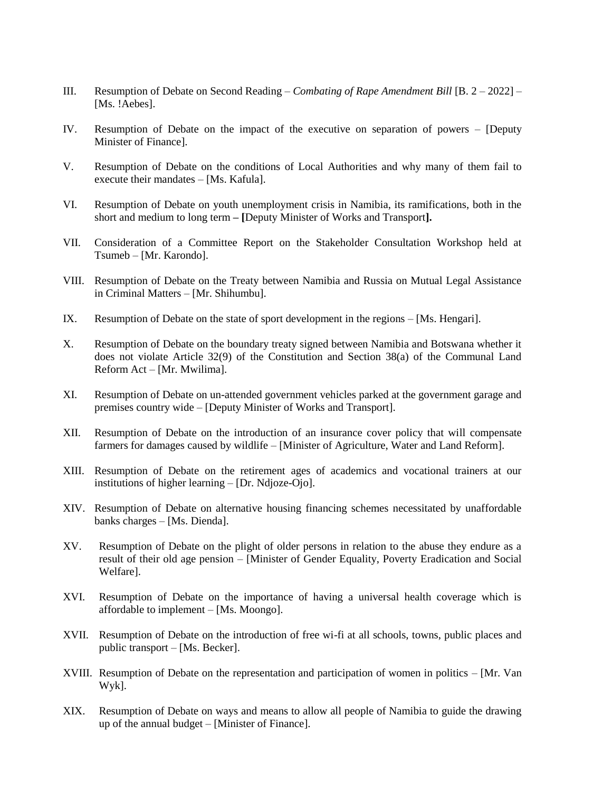- III. Resumption of Debate on Second Reading *Combating of Rape Amendment Bill* [B. 2 2022] [Ms. !Aebes].
- IV. Resumption of Debate on the impact of the executive on separation of powers [Deputy Minister of Finance].
- V. Resumption of Debate on the conditions of Local Authorities and why many of them fail to execute their mandates – [Ms. Kafula].
- VI. Resumption of Debate on youth unemployment crisis in Namibia, its ramifications, both in the short and medium to long term **– [**Deputy Minister of Works and Transport**].**
- VII. Consideration of a Committee Report on the Stakeholder Consultation Workshop held at Tsumeb – [Mr. Karondo].
- VIII. Resumption of Debate on the Treaty between Namibia and Russia on Mutual Legal Assistance in Criminal Matters – [Mr. Shihumbu].
- IX. Resumption of Debate on the state of sport development in the regions [Ms. Hengari].
- X. Resumption of Debate on the boundary treaty signed between Namibia and Botswana whether it does not violate Article 32(9) of the Constitution and Section 38(a) of the Communal Land Reform Act – [Mr. Mwilima].
- XI. Resumption of Debate on un-attended government vehicles parked at the government garage and premises country wide – [Deputy Minister of Works and Transport].
- XII. Resumption of Debate on the introduction of an insurance cover policy that will compensate farmers for damages caused by wildlife – [Minister of Agriculture, Water and Land Reform].
- XIII. Resumption of Debate on the retirement ages of academics and vocational trainers at our institutions of higher learning – [Dr. Ndjoze-Ojo].
- XIV. Resumption of Debate on alternative housing financing schemes necessitated by unaffordable banks charges – [Ms. Dienda].
- XV. Resumption of Debate on the plight of older persons in relation to the abuse they endure as a result of their old age pension – [Minister of Gender Equality, Poverty Eradication and Social Welfare].
- XVI. Resumption of Debate on the importance of having a universal health coverage which is affordable to implement – [Ms. Moongo].
- XVII. Resumption of Debate on the introduction of free wi-fi at all schools, towns, public places and public transport – [Ms. Becker].
- XVIII. Resumption of Debate on the representation and participation of women in politics [Mr. Van Wyk].
- XIX. Resumption of Debate on ways and means to allow all people of Namibia to guide the drawing up of the annual budget – [Minister of Finance].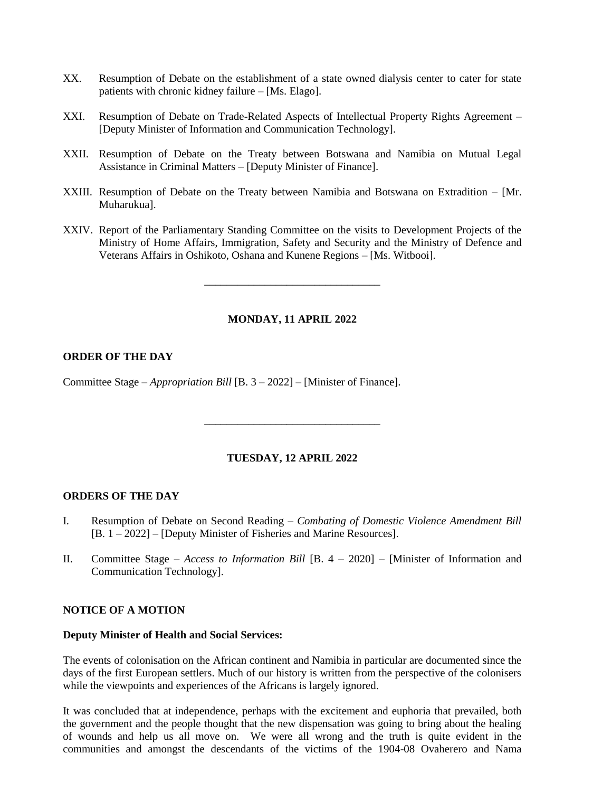- XX. Resumption of Debate on the establishment of a state owned dialysis center to cater for state patients with chronic kidney failure – [Ms. Elago].
- XXI. Resumption of Debate on Trade-Related Aspects of Intellectual Property Rights Agreement [Deputy Minister of Information and Communication Technology].
- XXII. Resumption of Debate on the Treaty between Botswana and Namibia on Mutual Legal Assistance in Criminal Matters – [Deputy Minister of Finance].
- XXIII. Resumption of Debate on the Treaty between Namibia and Botswana on Extradition [Mr. Muharukua].
- XXIV. Report of the Parliamentary Standing Committee on the visits to Development Projects of the Ministry of Home Affairs, Immigration, Safety and Security and the Ministry of Defence and Veterans Affairs in Oshikoto, Oshana and Kunene Regions – [Ms. Witbooi].

**MONDAY, 11 APRIL 2022**

\_\_\_\_\_\_\_\_\_\_\_\_\_\_\_\_\_\_\_\_\_\_\_\_\_\_\_\_\_\_\_\_

### **ORDER OF THE DAY**

Committee Stage – *Appropriation Bill* [B. 3 – 2022] – [Minister of Finance].

#### **TUESDAY, 12 APRIL 2022**

\_\_\_\_\_\_\_\_\_\_\_\_\_\_\_\_\_\_\_\_\_\_\_\_\_\_\_\_\_\_\_\_

#### **ORDERS OF THE DAY**

- I. Resumption of Debate on Second Reading *Combating of Domestic Violence Amendment Bill*  [B. 1 – 2022] – [Deputy Minister of Fisheries and Marine Resources].
- II. Committee Stage *Access to Information Bill* [B. 4 2020] [Minister of Information and Communication Technology].

#### **NOTICE OF A MOTION**

#### **Deputy Minister of Health and Social Services:**

The events of colonisation on the African continent and Namibia in particular are documented since the days of the first European settlers. Much of our history is written from the perspective of the colonisers while the viewpoints and experiences of the Africans is largely ignored.

It was concluded that at independence, perhaps with the excitement and euphoria that prevailed, both the government and the people thought that the new dispensation was going to bring about the healing of wounds and help us all move on. We were all wrong and the truth is quite evident in the communities and amongst the descendants of the victims of the 1904-08 Ovaherero and Nama